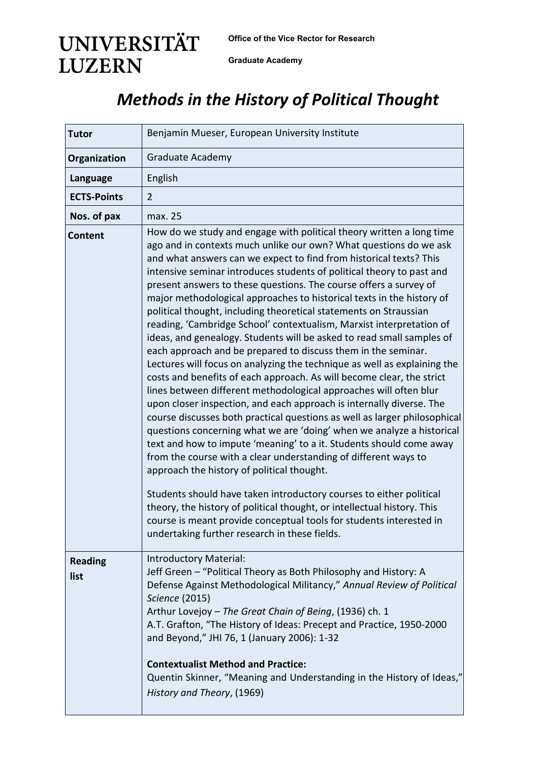**Office of the Vice Rector for Research** 

**UNIVERSITÄT LUZERN** 

**Graduate Academy**

## *Methods in the History of Political Thought*

| <b>Tutor</b>           | Benjamin Mueser, European University Institute                                                                                                                                                                                                                                                                                                                                                                                                                                                                                                                                                                                                                                                                                                                                                                                                                                                                                                                                                                                                                                                                                                                                                                                                                                                                                                                                                                                                                                                                                                                                                                                                          |
|------------------------|---------------------------------------------------------------------------------------------------------------------------------------------------------------------------------------------------------------------------------------------------------------------------------------------------------------------------------------------------------------------------------------------------------------------------------------------------------------------------------------------------------------------------------------------------------------------------------------------------------------------------------------------------------------------------------------------------------------------------------------------------------------------------------------------------------------------------------------------------------------------------------------------------------------------------------------------------------------------------------------------------------------------------------------------------------------------------------------------------------------------------------------------------------------------------------------------------------------------------------------------------------------------------------------------------------------------------------------------------------------------------------------------------------------------------------------------------------------------------------------------------------------------------------------------------------------------------------------------------------------------------------------------------------|
| Organization           | Graduate Academy                                                                                                                                                                                                                                                                                                                                                                                                                                                                                                                                                                                                                                                                                                                                                                                                                                                                                                                                                                                                                                                                                                                                                                                                                                                                                                                                                                                                                                                                                                                                                                                                                                        |
| Language               | English                                                                                                                                                                                                                                                                                                                                                                                                                                                                                                                                                                                                                                                                                                                                                                                                                                                                                                                                                                                                                                                                                                                                                                                                                                                                                                                                                                                                                                                                                                                                                                                                                                                 |
| <b>ECTS-Points</b>     | $\overline{2}$                                                                                                                                                                                                                                                                                                                                                                                                                                                                                                                                                                                                                                                                                                                                                                                                                                                                                                                                                                                                                                                                                                                                                                                                                                                                                                                                                                                                                                                                                                                                                                                                                                          |
| Nos. of pax            | max. 25                                                                                                                                                                                                                                                                                                                                                                                                                                                                                                                                                                                                                                                                                                                                                                                                                                                                                                                                                                                                                                                                                                                                                                                                                                                                                                                                                                                                                                                                                                                                                                                                                                                 |
| Content                | How do we study and engage with political theory written a long time<br>ago and in contexts much unlike our own? What questions do we ask<br>and what answers can we expect to find from historical texts? This<br>intensive seminar introduces students of political theory to past and<br>present answers to these questions. The course offers a survey of<br>major methodological approaches to historical texts in the history of<br>political thought, including theoretical statements on Straussian<br>reading, 'Cambridge School' contextualism, Marxist interpretation of<br>ideas, and genealogy. Students will be asked to read small samples of<br>each approach and be prepared to discuss them in the seminar.<br>Lectures will focus on analyzing the technique as well as explaining the<br>costs and benefits of each approach. As will become clear, the strict<br>lines between different methodological approaches will often blur<br>upon closer inspection, and each approach is internally diverse. The<br>course discusses both practical questions as well as larger philosophical<br>questions concerning what we are 'doing' when we analyze a historical<br>text and how to impute 'meaning' to a it. Students should come away<br>from the course with a clear understanding of different ways to<br>approach the history of political thought.<br>Students should have taken introductory courses to either political<br>theory, the history of political thought, or intellectual history. This<br>course is meant provide conceptual tools for students interested in<br>undertaking further research in these fields. |
| <b>Reading</b><br>list | Introductory Material:<br>Jeff Green - "Political Theory as Both Philosophy and History: A<br>Defense Against Methodological Militancy," Annual Review of Political<br>Science (2015)<br>Arthur Lovejoy - The Great Chain of Being, (1936) ch. 1<br>A.T. Grafton, "The History of Ideas: Precept and Practice, 1950-2000<br>and Beyond," JHI 76, 1 (January 2006): 1-32<br><b>Contextualist Method and Practice:</b><br>Quentin Skinner, "Meaning and Understanding in the History of Ideas,"<br>History and Theory, (1969)                                                                                                                                                                                                                                                                                                                                                                                                                                                                                                                                                                                                                                                                                                                                                                                                                                                                                                                                                                                                                                                                                                                             |